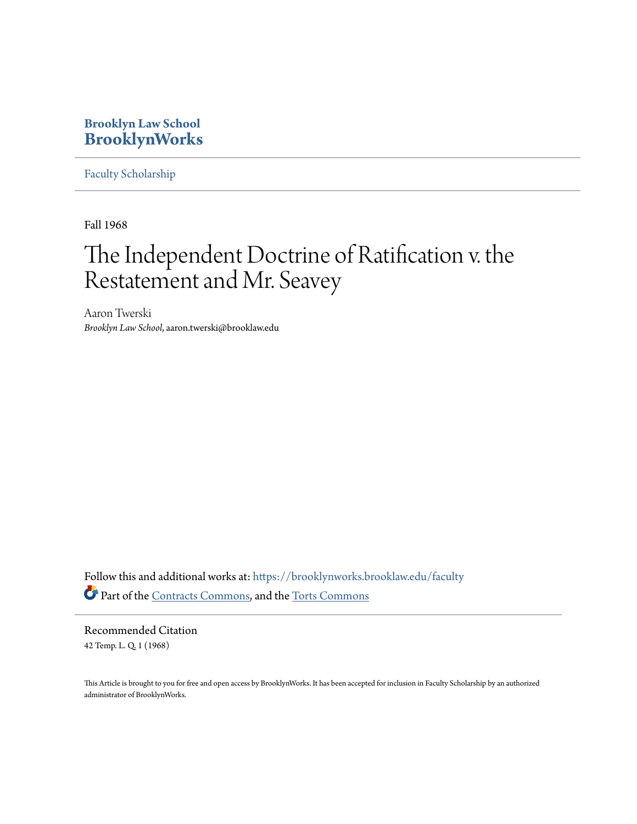### **Brooklyn Law School [BrooklynWorks](https://brooklynworks.brooklaw.edu?utm_source=brooklynworks.brooklaw.edu%2Ffaculty%2F730&utm_medium=PDF&utm_campaign=PDFCoverPages)**

[Faculty Scholarship](https://brooklynworks.brooklaw.edu/faculty?utm_source=brooklynworks.brooklaw.edu%2Ffaculty%2F730&utm_medium=PDF&utm_campaign=PDFCoverPages)

Fall 1968

# The Independent Doctrine of Ratification v. the Restatement and Mr. Seavey

Aaron Twerski *Brooklyn Law School*, aaron.twerski@brooklaw.edu

Follow this and additional works at: [https://brooklynworks.brooklaw.edu/faculty](https://brooklynworks.brooklaw.edu/faculty?utm_source=brooklynworks.brooklaw.edu%2Ffaculty%2F730&utm_medium=PDF&utm_campaign=PDFCoverPages) Part of the [Contracts Commons](http://network.bepress.com/hgg/discipline/591?utm_source=brooklynworks.brooklaw.edu%2Ffaculty%2F730&utm_medium=PDF&utm_campaign=PDFCoverPages), and the [Torts Commons](http://network.bepress.com/hgg/discipline/913?utm_source=brooklynworks.brooklaw.edu%2Ffaculty%2F730&utm_medium=PDF&utm_campaign=PDFCoverPages)

Recommended Citation 42 Temp. L. Q. 1 (1968)

This Article is brought to you for free and open access by BrooklynWorks. It has been accepted for inclusion in Faculty Scholarship by an authorized administrator of BrooklynWorks.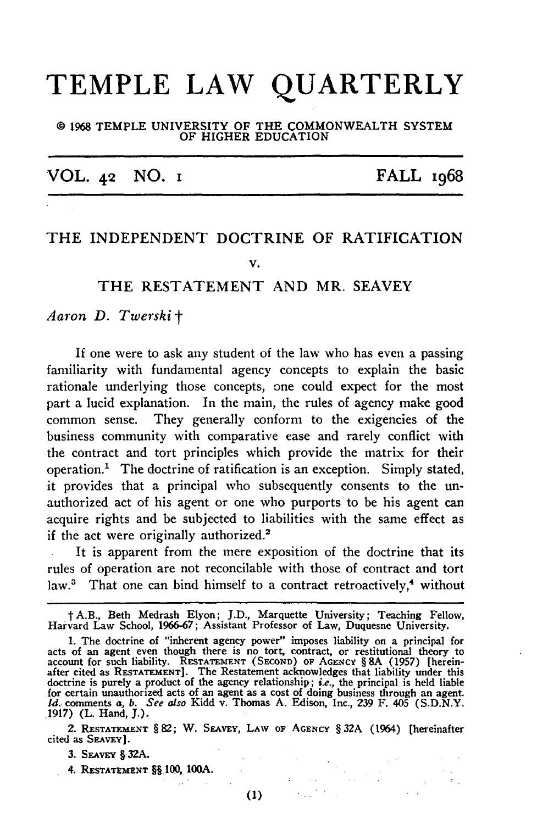## **TEMPLE LAW QUARTERLY**

#### o **1968 TEMPLE UNIVERSITY OF THE COMMONWEALTH SYSTEM OF HIGHER EDUCATION**

VOL. **42 NO. I** FALL 1968

### THE **INDEPENDENT** DOCTRINE OF RATIFICATION **V.**

#### THE **RESTATEMENT AND** MR. **SEAVEY**

*Aaron D. Twerskit*

If one were to ask any student of the law who has even a passing familiarity with fundamental agency concepts to explain the basic rationale underlying those concepts, one could expect for the most part a lucid explanation. In the main, the rules of agency make good common sense. They generally conform to the exigencies of the business community with comparative ease and rarely conflict with the contract and tort principles which provide the matrix for their operation.' The doctrine of ratification is an exception. Simply stated, it provides that a principal who subsequently consents to the unauthorized act of his agent or one who purports to be his agent can acquire rights and be subjected to liabilities with the same effect as if the act were originally authorized.<sup>2</sup>

It is apparent from the mere exposition of the doctrine that its rules of operation are not reconcilable with those of contract and tort law.<sup>3</sup> That one can bind himself to a contract retroactively,<sup>4</sup> without

**1.** The doctrine of "inherent agency power" imposes liability on a principal for acts of an agent even though there is no tort, contract, or restitutional theory to account for such liability. RESTATEMENT (SECOND) OF AGENCY § 8A (1957) [hereinafter cited as **RESTATEMENT].** The Restatement acknowledges that liability under this doctrine is purely a product of the agency relationship; *i.e.,* the principal is held liable for certain unauthorized acts of an agent as a cost of doing business through an agent. *1d.* comments a, *b. See also* Kidd v. Thomas A. Edison, Inc., 239 F. 405 (S.D.N.Y. 1917) (L. Hand, **J.).**

2. **RESTATEMENT** § **82;** W. **SEAvEY,** LAW **OF** AGENCY § **32A** (1964) [hereinafter cited as SEAvEY].

 $\sim 10^4$ 

 $\label{eq:2.1} \mathcal{L}(\mathbf{z}) = \mathcal{L}(\mathbf{z}) = \mathcal{L}(\mathbf{z})$ 

 $\langle \sigma_{\rm{tot}} \rangle$ 

 $\label{eq:3.1} \frac{1}{\Phi_{\rm{eff}}(t)}\left(\frac{1}{\Phi_{\rm{eff}}(t)}\right)^{1/2}\left(\frac{1}{\Phi_{\rm{eff}}(t)}\right)^{1/2}$ 

 $\sim 842\%$ 

3. SEAvEY **§** 32A.

4. **RESTATEMENT §§.100,** 10A.

 $\sim 14.7$  m  $\sim 10$ 

 $(1)$ 

t A.B., Beth Medrash Elyon; J.D., Marquette University; Teaching Fellow, Harvard Law School, 1966-67; Assistant Professor of Law, Duquesne University.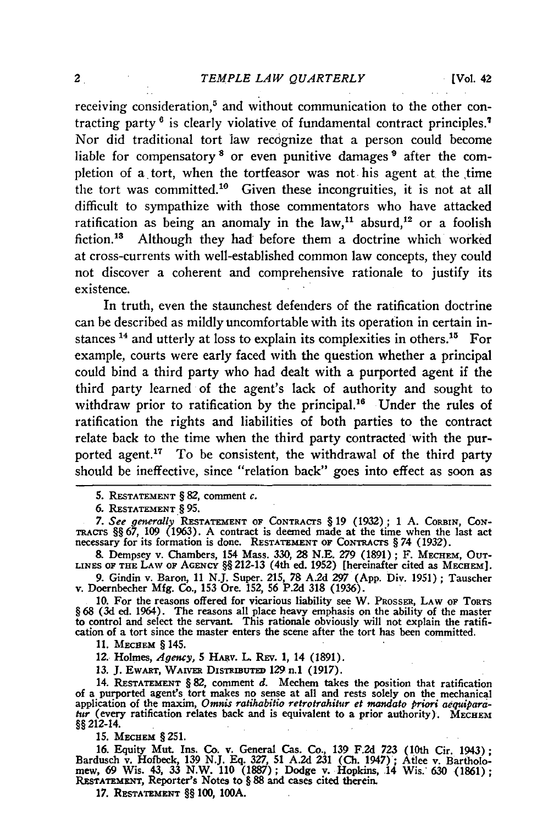receiving consideration,<sup>5</sup> and without communication to the other contracting party **6** is clearly violative of fundamental contract principles. Nor did traditional tort law recognize that a person could become liable for compensatory<sup>8</sup> or even punitive damages<sup>9</sup> after the completion of a tort, when the tortfeasor was not his agent at the time the tort was committed.<sup>10</sup> Given these incongruities, it is not at all difficult to sympathize with those commentators who have attacked ratification as being an anomaly in the law,<sup>11</sup> absurd,<sup>12</sup> or a foolish fiction.<sup>13</sup> Although they had before them a doctrine which worked at cross-currents with well-established common law concepts, they could not discover a coherent and comprehensive rationale to justify its existence.

In truth, even the staunchest defenders of the ratification doctrine can be described as mildly uncomfortable with its operation in certain instances <sup>14</sup> and utterly at loss to explain its complexities in others.<sup>15</sup> For example, courts were early faced with the question whether a principal could bind a third party who had dealt with a purported agent if the third party learned of the agent's lack of authority and sought to withdraw prior to ratification by the principal.<sup>16</sup> Under the rules of ratification the rights and liabilities of both parties to the contract relate back to the time when the third party contracted with the purported agent.<sup>17</sup> To be consistent, the withdrawal of the third party should be ineffective, since "relation back" goes into effect as soon as

**9.** Gindin v. Baron, **11 N.J.** Super. **215,** 78 **A.2d 297 (App.** Div. **1951) ;** Tauscher v. Doernbecher **Mfg.** Co., **153** Ore. **152, 56 P.2d 318 (1936).**

**10.** For the reasons offered for vicarious liability see W. PROSSER, **LAW OF TORTS** § 68 (3d ed. 1964). The reasons all place heavy emphasis on the ability of the master to control and select the servant. This rationale obviously will not explain the ratifi-cation of a tort since the master enters the scene after the tort has been committed.

**11.** Mechem § 145.

12. Holmes, *Agency,* **5** H~av. L Rzv. **1,** 14 **(1891).**

**13. J.** EwnrT, WAwmE DismmuTm **129** n.1 **(1917).**

14. **RESTATEMENT § 82,** comment *d.* Mechem takes the position that ratification of a purported agent's tort makes no sense at all and rests solely on the mechanical application of the maxim, *Omnis ratihabitio retrotrahitur et mandato priori aequiparatur* (every ratification relates back and is equivalent to a prior authority). MECHEM 99212-14.

**15. MECHEM § 251.** 

16. Equity Mut. Ins. Co. v. General Cas. Co., **139** F.2d 723 (10th Cir. 1943); Bardusch v. Hofbeck, **139** N.J. Eq. 327, 51 A.2d 231 **(Ch.** 1947); Atlee v. Bartholomew, **69** Wis. 43, 33 N.W. 110 (1887); Dodge v. Hopkins, 14 Wis. 630 (1861); **RESTATEMENT,** Reporter's Notes to § **88** and cases cited therein.

**17. RESTATEMENT §§** 100, **100A.**

**<sup>5.</sup> RESTATEMENT** § **82,** comment *c.*

**<sup>6.</sup> RESTATEMENT § 95.**

*<sup>7.</sup> See generally* **RESTATEMENT OF** CONTRACrS § **19 (1932); 1 A. CORBIN, CON-TRAcrS §§ 67, 109** (1963). A contract is deemed made at the time when the last act necessary **for its formation** is **done. RESTATEMENT OF** CoNRAcrs **§** *74* **(1932).**

**<sup>&</sup>amp;** Dempsey v. Chambers, 154 Mass. 330, **28** N.E. **279** (1891); F. **MECHEM, OUT-LINES OF THE LAW OF AGENCY** §§ **212-13** (4th ed. **1952)** [hereinafter cited as **MECHEM].**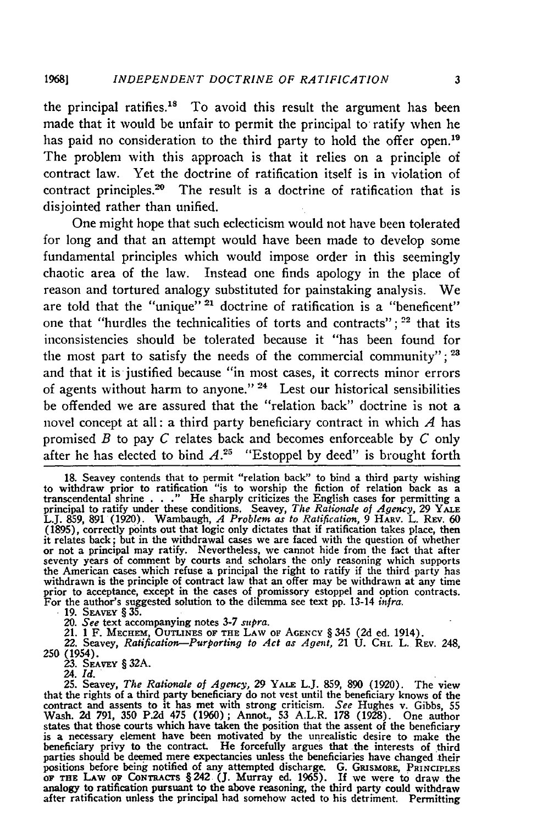the principal ratifies.<sup>18</sup> To avoid this result the argument has been made that it would be unfair to permit the principal to ratify when he has paid no consideration to the third party to hold the offer open.<sup>19</sup> The problem with this approach is that it relies on a principle of contract law. Yet the doctrine of ratification itself is in violation of contract principles.<sup>20</sup> The result is a doctrine of ratification that is disjointed rather than unified.

One might hope that such eclecticism would not have been tolerated for long and that an attempt would have been made to develop some fundamental principles which would impose order in this seemingly chaotic area of the law. Instead **one** finds apology in the place of reason and tortured analogy substituted for painstaking analysis. We are told that the "unique" **21** doctrine of ratification is a "beneficent" one that "hurdles the technicalities of torts and contracts"; **22** that its inconsistencies should be tolerated because it "has been found for the most part to satisfy the needs of the commercial community"; **<sup>23</sup>** and that it is justified because "in most cases, it corrects minor errors of agents without harm to anyone." **24** Lest our historical sensibilities be offended we are assured that the "relation back" doctrine is not a novel concept at all: a third party beneficiary contract in which *A* has promised *B* to pay *C* relates back and becomes enforceable **by** *C* only after he has elected to bind  $A^{25}$  "Estoppel by deed" is brought forth

20. See text accompanying notes 3-7 supra.<br>21. 1 F. Mechem, OUTLINES OF THE LAW OF AGENCY § 345 (2d ed. 1914).<br>22. Seavey, Ratification—Purporting to Act as Agent, 21 U. CHI. L. REV. 248.

**250** (1954). 23. SEAVEY **§ 32A.** 24. *Id.*

25. Seavey, *The Rationale of Agency,* 29 **YALE** L.J. **859, 890** (1920). The view that the rights of a third party beneficiary do not vest until the beneficiary knows of the contract and assents to it has met with strong criticism. *See Hughes v. Gibbs*, 55 Wash. 2d 791, 350 P.2d 475 (1960); Annot., 53 A.L.R. 178 (1928). One author states that those courts which have taken the position that the assent of the beneficiary is a necessary element have been motivated **by** the unrealistic desire to make the beneficiary privy to the contract. He forcefully argues that the interests of third parties should be deemed mere expectancies unless the beneficiaries have changed their positions before being notified of any attempted di after ratification unless the principal had somehow acted to his detriment. Permitting

**<sup>18.</sup>** Seavey contends that to permit "relation back" to bind a third party wishing to withdraw prior to ratification "is to worship the fiction of relation back as a transcendental shrine **. . ."** He sharply criticizes the English cases for permitting a principal to ratify under these conditions. Seavey, *The Rationale of Agency,* **29 YALE** L.J. **859, 891 (1920).** Wambaugh, *A Problem as to Ratification,* **9** HARv. L. **REv. 60 (1895),** correctly points out that logic only dictates that if ratification takes place, then it relates back; but in the withdrawal cases we are faced with the question of whether or not a principal may ratify. Nevertheless, we cannot hide from the fact that after seventy years of comment **by** courts and scholars the only reasoning which supports the American cases which refuse a principal the right to ratify if the third party has withdrawn is the principle of contract law that an offer may be withdrawn at any time prior to acceptance, except in the cases of promissory estoppel and option contracts For the author's suggested solution to the dilemma see text pp. 13-14 *infra.*<br>19. SEAVEY § 35.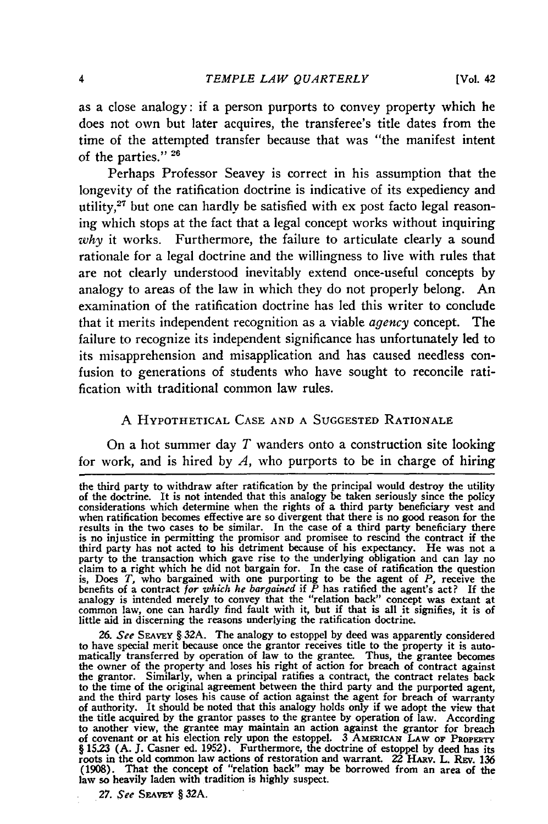as a close analogy: if a person purports to convey property which he does not own but later acquires, the transferee's title dates from the time of the attempted transfer because that was "the manifest intent of the parties." **26**

Perhaps Professor Seavey is correct in his assumption that the longevity of the ratification doctrine is indicative of its expediency and utility,<sup>27</sup> but one can hardly be satisfied with  $ex$  post facto legal reasoning which stops at the fact that a legal concept works without inquiring *why* it works. Furthermore, the failure to articulate clearly a sound rationale for a legal doctrine and the willingness to live with rules that are not clearly understood inevitably extend once-useful concepts by analogy to areas of the law in which they do not properly belong. An examination of the ratification doctrine has led this writer to conclude that it merits independent recognition as a viable *agency* concept. The failure to recognize its independent significance has unfortunately led to its misapprehension and misapplication and has caused needless confusion to generations of students who have sought to reconcile ratification with traditional common law rules.

#### A HYPOTHETICAL **CASE AND A SUGGESTED** RATIONALE

On a hot summer day *T* wanders onto a construction site looking for work, and is hired by *A,* who purports to be in charge of hiring

*27. See* **SFAvEy** § **32A.**

the third party to withdraw after ratification **by** the principal would destroy the utility of the doctrine. It is not intended that this analogy be taken seriously since the policy considerations which determine when the rights of a third party beneficiary vest and when ratification becomes effective are so divergent that there is no good reason for the results in the two cases to be similar. In the case of a third party beneficiary there is no injustice in permitting the promisor and promisee to rescind the contract if the third party has not acted to his detriment because of his expectancy. He was not a<br>party to the transaction which gave rise to the underlying obligation and can lay no<br>claim to a right which he did not bargain for. In the is, Does *T,* who bargained with one purporting to be the agent of *P,* receive the benefits of a contract *for which he bargained* if *P* has ratified the agent's act? If the analogy is intended merely to convey that the "relation back" concept was extant at common law, one can hardly find fault with it, but if that is all it signifies, it is of little aid in discerning the reasons underlying the ratification doctrine.

<sup>26.</sup> *See* SEAVEY § 32A. The analogy to estoppel by deed was apparently considered to have special merit because once the grantor receives title to the property it is auto-matically transferred by operation of law to the grantee. Thus, the grantee becomes the owner of the property and loses his right of action for breach of contract agains the grantor. Similarly, when a principal ratifies a contract, the contract relates back to the time of the original agreement between the third party and the purported agent, and the third party loses his cause of action against the agent for breach of warranty of authority. It should be noted that this analogy holds only if we adopt the view that the title acquired by the grantor passes to the grantee by operation of law. According to another view, the grantee may maintain an action against the grantor for breach of covenant or at his election rely upon the estoppel. **3 AMEMICAN LAW OF PROPERTY** § **15.23 (A.** J. Casner ed. 1952). Furthermore, the doctrine of estoppel **by** deed has its roots in the old common law actions of restoration and warrant. 22 HARV. L. REV. 136 (1908). That the concept of "relation back" may be borrowed from an area of the law so heavily laden with tradition is highly suspect.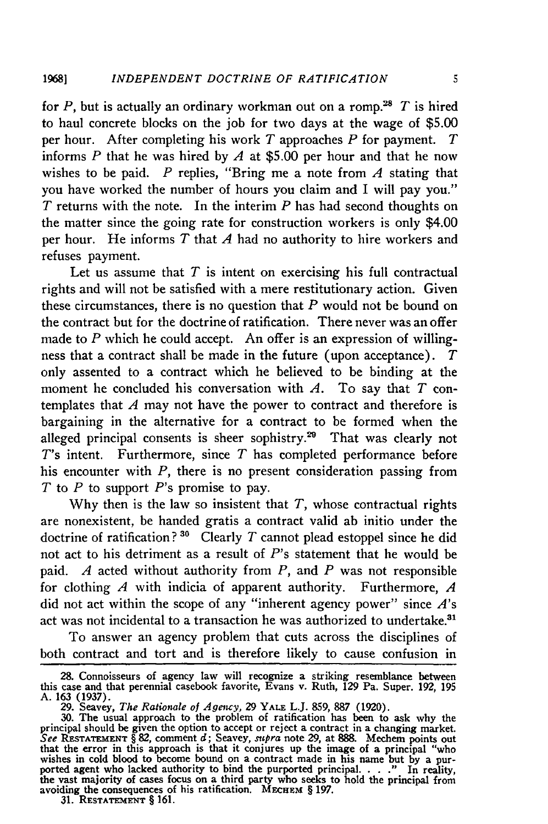for P, but is actually an ordinary workman out on a romp.<sup>28</sup> T is hired to haul concrete blocks on the job for two days at the wage of \$5.00 per hour. After completing his work *T* approaches *P* for payment. *T* informs  $P$  that he was hired by  $A$  at \$5.00 per hour and that he now wishes to be paid. *P* replies, "Bring me a note from *A* stating that you have worked the number of hours you claim and I will pay you." *T* returns with the note. In the interim *P* has had second thoughts on the matter since the going rate for construction workers is only \$4.00 per hour. He informs *T* that *A* had no authority to hire workers and refuses payment.

Let us assume that *T* is intent on exercising his full contractual rights and will not be satisfied with a mere restitutionary action. Given these circumstances, there is no question that *P* would not be bound on the contract but for the doctrine of ratification. There never was an offer made to *P* which he could accept. An offer is an expression of willingness that a contract shall be made in the future (upon acceptance). *T* only assented to a contract which he believed to be binding at the moment he concluded his conversation with *A.* To say that *T* contemplates that *A* may not have the power to contract and therefore is bargaining in the alternative for a contract to be formed when the alleged principal consents is sheer sophistry.<sup>29</sup> That was clearly not *T's* intent. Furthermore, since *T* has completed performance before his encounter with *P,* there is no present consideration passing from *T* to *P* to support *P's* promise to pay.

**Why** then is the law so insistent that *T,* whose contractual rights are nonexistent, be handed gratis a contract valid ab initio under the doctrine of ratification?<sup>30</sup> Clearly  $T$  cannot plead estoppel since he did not act to his detriment as a result of  $P$ 's statement that he would be paid. *A* acted without authority from *P,* and *P* was not responsible for clothing *A* with indicia of apparent authority. Furthermore, *A* did not act within the scope of any "inherent agency power" since *A's* act was not incidental to a transaction he was authorized to undertake.<sup>31</sup>

To answer an agency problem that cuts across the disciplines of both contract and tort and is therefore likely to cause confusion in

**<sup>28.</sup>** Connoisseurs of agency law will recognize a striking resemblance between this case and that perennial casebook favorite, Evans v. Ruth, **129** Pa. Super. 192, **195** A. **163** (1937). **29.** Seavey, *The Rationale of Agency,* 29 YALE L.J. 859, 887 (1920).

**<sup>30.</sup>** The usual approach to the problem of ratification has been to ask why the principal should be given the option to accept or reject a contract in a changing market. *See* **RESTATEMENT** § **82,** comment *d;* Seavey, *supra* note 29, at 888. Mechem points out that the error in this approach is that it conjures up the image of a principal "who wishes in cold blood to become bound on a contract made in his name but **by** a pur- ported agent who lacked authority to bind the purported principal. . . **."** In reality, the vast majority of cases focus on a third party who seeks to hold the principal from avoiding the consequences of his ratification. MECHEM § 197.<br>31. RESTATEMENT § 161.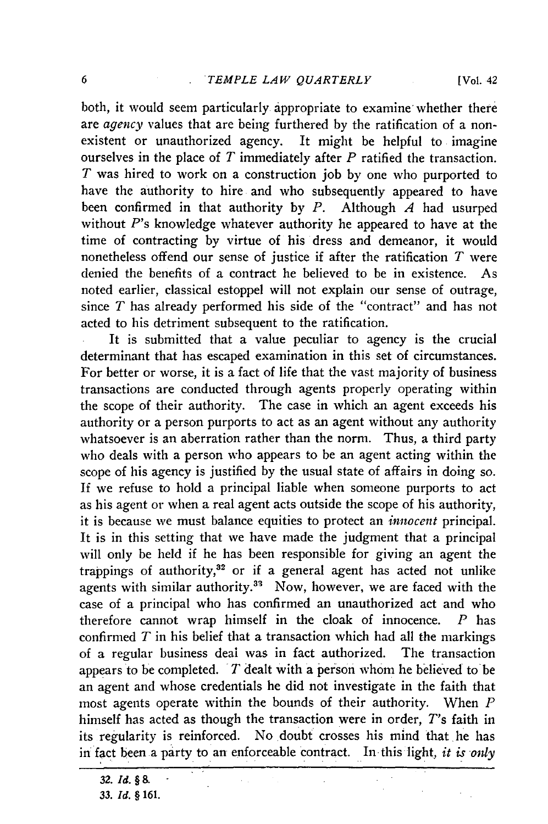both, it would seem particularly appropriate to examine whether there are *agency* values that are being furthered by the ratification of a nonexistent or unauthorized agency. It might be helpful to imagine ourselves in the place of *T* immediately after *P* ratified the transaction. *T* was hired to work on a construction **job** by one who purported to have the authority to hire and who subsequently appeared to have been confirmed in that authority by *P.* Although *A* had usurped without *P's* knowledge whatever authority he appeared to have at the time of contracting by virtue of his dress and demeanor, it would nonetheless offend our sense of justice if after the ratification *T* were denied the benefits of a contract he believed to be in existence. As noted earlier, classical estoppel will not explain our sense of outrage, since *T* has already performed his side of the "contract" and has not acted to his detriment subsequent to the ratification.

It is submitted that a value peculiar to agency is the crucial determinant that has escaped examination in this set of circumstances. For better or worse, it is a fact of life that the vast majority of business transactions are conducted through agents properly operating within the scope of their authority. The case in which an agent exceeds his authority or a person purports to act as an agent without any authority whatsoever is an aberration rather than the norm. Thus, a third party who deals with a person who appears to be an agent acting within the scope of his agency is justified by the usual state of affairs in doing so. If we refuse to hold a principal liable when someone purports to act as his agent or when a real agent acts outside the scope of his authority, it is because we must balance equities to protect an *innocent* principal. It is in this setting that we have made the judgment that a principal will only be held if he has been responsible for giving an agent the trappings of authority, $32$  or if a general agent has acted not unlike agents with similar authority.<sup>33</sup> Now, however, we are faced with the case of a principal who has confirmed an unauthorized act and who therefore cannot wrap himself in the cloak of innocence. *P* has confirmed *T* in his belief that a transaction which had all the markings of a regular business deal was in fact authorized. The transaction appears to be completed. *T* dealt with a person whom he believed to'be an agent and whose credentials he did not investigate in the faith that most agents operate within the bounds of their authority. When *P* himself has acted as though the transaction were in order, *T's* faith in its regularity is reinforced. No doubt crosses his mind that he has in fact been a party to an enforceable contract. In this light, *it is only* 

*32. Id. §* **& 33.** *Id. §* **161.**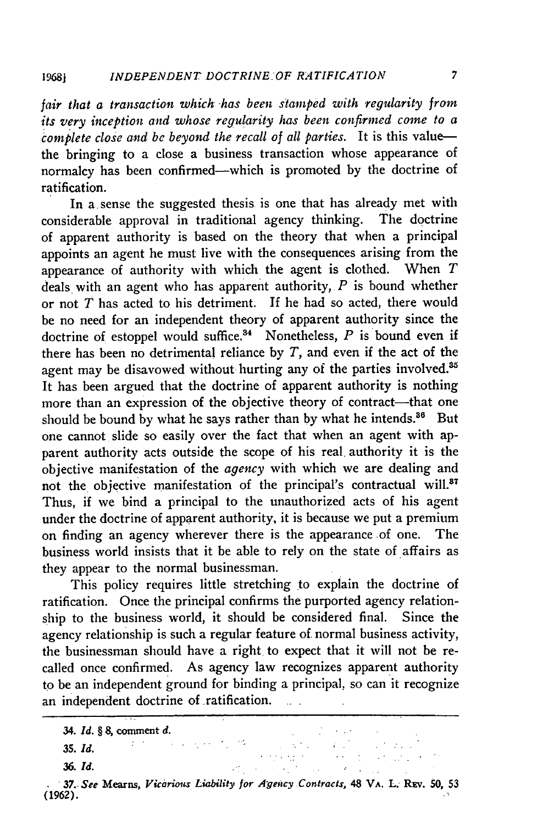*fair that a transaction which has been stamped with regularity from its very inception and whose regularity has been confirmed come to a complete close and be beyond the recall of all parties.* It is this valuethe bringing to a close a business transaction whose appearance of normalcy has been confirmed—which is promoted by the doctrine of ratification.

In a sense the suggested thesis is one that has already met with considerable approval in traditional agency thinking. The doctrine of apparent authority is based on the theory that when a principal appoints an agent he must live with the consequences arising from the appearance of authority with which the agent is clothed. When *T* deals with an agent who has apparent authority, *P* is bound whether or not *T* has acted to his detriment. If he had so acted, there would be no need for an independent theory of apparent authority since the doctrine of estoppel would suffice.<sup>34</sup> Nonetheless,  $P$  is bound even if there has been no detrimental reliance by *T,* and even if the act of the agent may be disavowed without hurting any of the parties involved.<sup>35</sup> It has been argued that the doctrine of apparent authority is nothing more than an expression of the objective theory of contract—that one should be bound by what he says rather than by what he intends.<sup>86</sup> But one cannot slide so easily over the fact that when an agent with apparent authority acts outside the scope of his real. authority it is the objective manifestation of the *agency* with which we are dealing and not the objective manifestation of the principal's contractual will.<sup>37</sup> Thus, if we bind a principal to the unauthorized acts of his agent under the doctrine of apparent authority, it is because we put a premium on finding an agency wherever there is the appearance of one. The business world insists that it be able to rely on the state of affairs as they appear to the normal businessman.

This policy requires little stretching to explain the doctrine of ratification. Once the principal confirms the purported agency relationship to the business world, it should be considered final. Since the agency relationship is such a regular feature of normal business activity, the businessman should have a right to expect that it will not be recalled once confirmed. As agency law recognizes apparent authority to be an independent ground for binding a principal, so can it recognize an independent doctrine of ratification.

34. *Id. § 8,* **comment** *d.*

 $\mathcal{L}^{\mathcal{L}}(\mathcal{L}^{\mathcal{L}}(\mathcal{L}^{\mathcal{L}}))$  , where  $\mathcal{L}^{\mathcal{L}}(\mathcal{L}^{\mathcal{L}})$ 

*35. Id.*

*36. Id.*

37. See Mearns, Vicarious Liability *for Agency Contracts*, 48 VA. L. REV. 50, 53 **(1962).**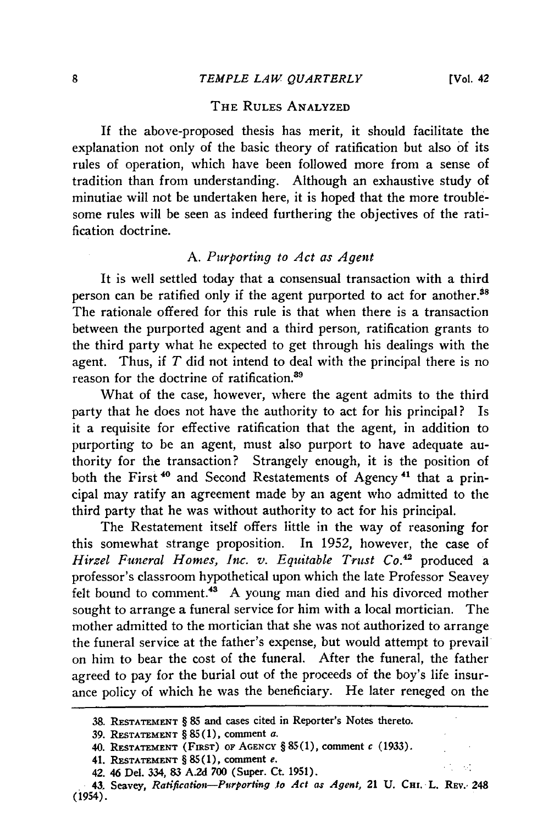$\mathcal{O}$ 

#### THE **RULES ANALYZED**

If the above-proposed thesis has merit, it should facilitate the explanation not only of the basic theory of ratification but also of its rules of operation, which have been followed more from a sense of tradition than from understanding. Although an exhaustive study of minutiae will not be undertaken here, it is hoped that the more troublesome rules will be seen as indeed furthering the objectives of the ratification doctrine.

#### *A. Purporting to Act as Agent*

It is well settled today that a consensual transaction with a third person can be ratified only if the agent purported to act for another.<sup>38</sup> The rationale offered for this rule is that when there is a transaction between the purported agent and a third person, ratification grants to the third party what he expected to get through his dealings with the agent. Thus, if *T* did not intend to deal with the principal there is no reason for the doctrine of ratification.<sup>89</sup>

What of the case, however, where the agent admits to the third party that he does not have the authority to act for his principal? Is it a requisite for effective ratification that the agent, in addition to purporting to be an agent, must also purport to have adequate authority for the transaction? Strangely enough, it is the position of both the First **"** and Second Restatements of Agency **<sup>4</sup> '** that a principal may ratify an agreement made by an agent who admitted to the third party that he was without authority to act for his principal.

The Restatement itself offers little in the way of reasoning for this somewhat strange proposition. In 1952, however, the case of *Hirzel Funeral Homes, Inc. v. Equitable Trust Co.*<sup>42</sup> produced a professor's classroom hypothetical upon which the late Professor Seavey felt bound to comment.<sup>43</sup> A young man died and his divorced mother sought to arrange a funeral service for him with a local mortician. The mother admitted to the mortician that she was not authorized to arrange the funeral service at the father's expense, but would attempt to prevail on him to bear the cost of the funeral. After the funeral, the father agreed to pay for the burial out of the proceeds of the boy's life insurance policy of which he was the beneficiary. He later reneged on the

**<sup>38.</sup> RESTATEMENT** § **85** and cases **cited in** Reporter's Notes thereto.

**<sup>39.</sup>** RESTATEMENT § **85 (1),** comment **a.**

**<sup>40.</sup> RESTATEMENT (FiRsT) oF AGENCY** § **85(1), comment** *c* **(1933).**

<sup>41.</sup> **RESTATEMENT** § **85(1),** comment *e.*

**<sup>42.</sup>** 46 Del. **334, 83 A.2d 700** (Super. Ct. **1951).**

*<sup>43.</sup>* Seavey, *Ratification-Purporting to Act ar Agent,* 21 **U. CHt. L.** REv., **248** (1954).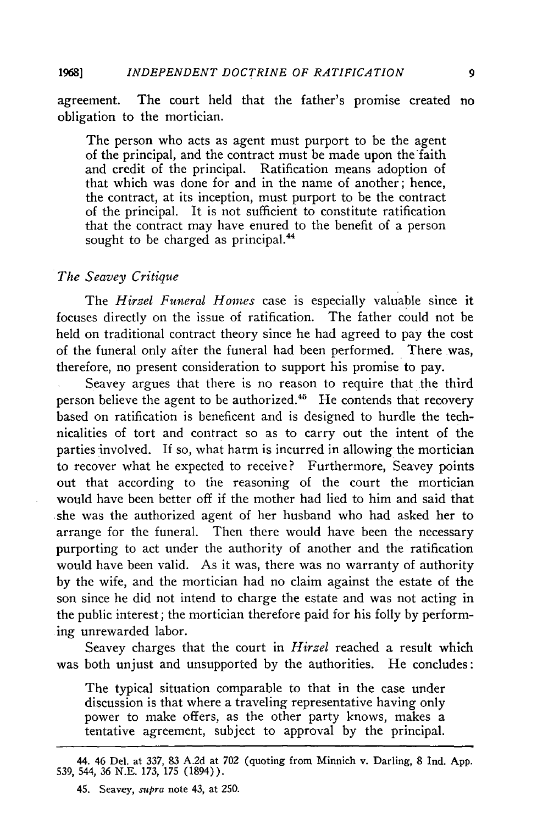agreement. The court held that the father's promise created no obligation to the mortician.

The person who acts as agent must purport to be the agent of the principal, and the contract must be made upon the faith and credit of the principal. Ratification means adoption of that which was done for and in the name of another; hence, the contract, at its inception, must purport to be the contract of the principal. It is not sufficient to constitute ratification that the contract may have enured to the benefit of a person sought to be charged as principal.<sup>44</sup>

#### *The Seavey Critique*

The *Hirzel Funeral Homes* case is especially valuable since it focuses directly on the issue of ratification. The father could not be held on traditional contract theory since he had agreed to pay the cost of the funeral only after the funeral had been performed. There was, therefore, no present consideration to support his promise to pay.

Seavey argues that there is no reason to require that the third person believe the agent to be authorized.<sup>45</sup> He contends that recovery based on ratification is beneficent and is designed to hurdle the technicalities of tort and contract so as to carry out the intent of the parties involved. If so, what harm is incurred in allowing the mortician to recover what he expected to receive? Furthermore, Seavey points out that according to the reasoning of the court the mortician would have been better off if the mother had lied to him and said that she was the authorized agent of her husband who had asked her to arrange for the funeral. Then there would have been the necessary purporting to act under the authority of another and the ratification would have been valid. As it was, there was no warranty of authority by the wife, and the mortician had no claim against the estate of the son since he did not intend to charge the estate and was not acting in the public interest; the mortician therefore paid for his folly by performing unrewarded labor.

Seavey charges that the court in *Hirzel* reached a result which was both unjust and unsupported by the authorities. He concludes:

The typical situation comparable to that in the case under discussion is that where a traveling representative having only power to make offers, as the other party knows, makes a tentative agreement, subject to approval by the principal.

9

 $44.46$  Del. at 337, 83, A.24 at 702 (quoting from Min. i.e. Darling, 8 Ind. App. 539, 544, 36 N.E. 173, 175 (1894).

<sup>45.</sup> Seavey, *supra* note 43, at 250.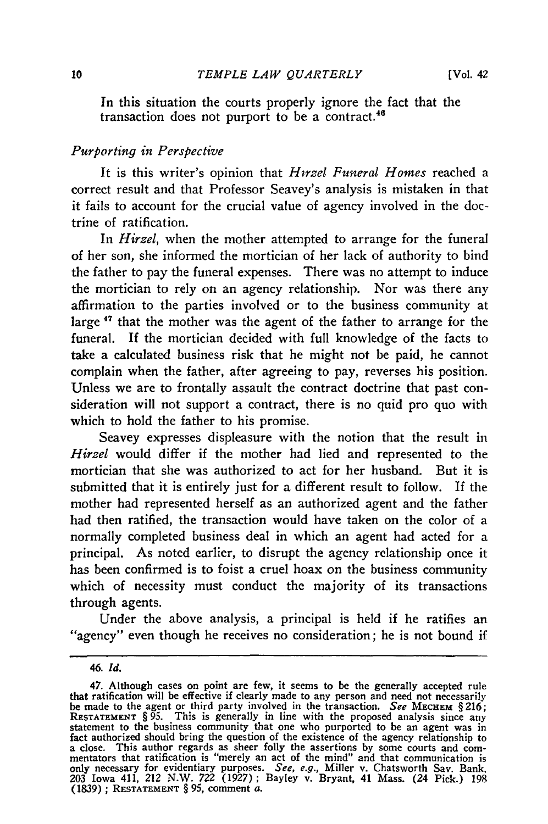In this situation the courts properly ignore the fact that the transaction does not purport to be a contract.<sup>46</sup>

#### *Purporting in Perspective*

It is this writer's opinion that *Hirzel Funeral Homes* reached a correct result and that Professor Seavey's analysis is mistaken in that it fails to account for the crucial value of agency involved in the doctrine of ratification.

In *Hirzel,* when the mother attempted to arrange for the funeral of her son, she informed the mortician of her lack of authority to bind the father to pay the funeral expenses. There was no attempt to induce the mortician to rely on an agency relationship. Nor was there any affirmation to the parties involved or to the business community at large **'7** that the mother was the agent of the father to arrange for the funeral. If the mortician decided with full knowledge of the facts to take a calculated business risk that he might not be paid, he cannot complain when the father, after agreeing to pay, reverses his position. Unless we are to frontally assault the contract doctrine that past consideration will not support a contract, there is no quid pro quo with which to hold the father to his promise.

Seavey expresses displeasure with the notion that the result in *Hirzel* would differ if the mother had lied and represented to the mortician that she was authorized to act for her husband. But it is submitted that it is entirely just for a different result to follow. If the mother had represented herself as an authorized agent and the father had then ratified, the transaction would have taken on the color of a normally completed business deal in which an agent had acted for a principal. As noted earlier, to disrupt the agency relationship once it has been confirmed is to foist a cruel hoax on the business community which of necessity must conduct the majority of its transactions through agents.

Under the above analysis, a principal is held if he ratifies an "agency" even though he receives no consideration; he is not bound if

*<sup>46.</sup> Id.*

<sup>47.</sup> Although cases on point are few, it seems to be the generally accepted rule that ratification will be effective if clearly made to any person and need not necessarily<br>be made to the agent or third party involved in the transaction. See MECHEM  $\S 216$ ;<br>RESTATEMENT §95. This is generally in line wi statement to the business community that one who purported to be an agent was in fact authorized should bring the question of the existence of the agency relationship to a close. This author regards as sheer folly the assertions by some courts and com-mentators that ratification is "merely an act of the mind" and that communication is only necessary for evidentiary purposes. *See,* e.g., Miller v. Chatsworth Say. Bank. 203 Iowa 411, *212* N.W. 722 (1927); Bayley v. Bryant, 41 Mass. (24 Pick.) 198 (1839) ; **RESTATEMENT** § 95, comment a.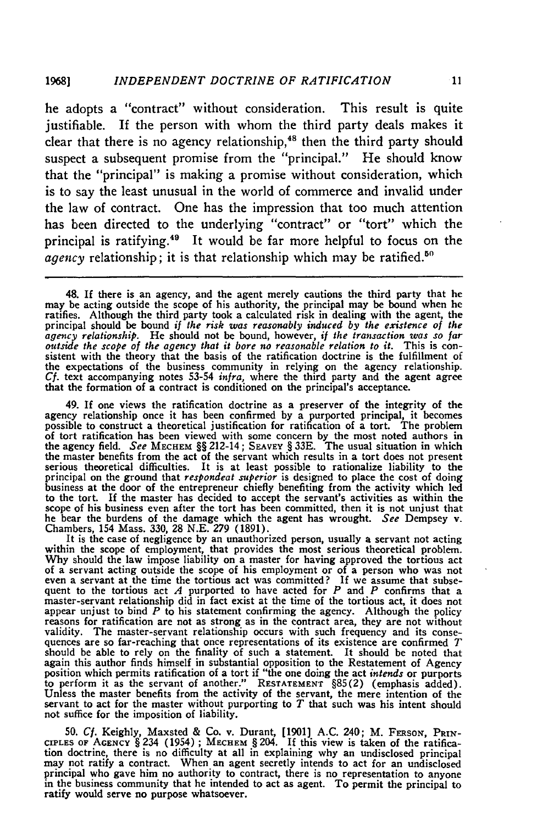he adopts a "contract" without consideration. This result is quite justifiable. If the person with whom the third party deals makes it clear that there is no agency relationship,<sup>48</sup> then the third party should suspect a subsequent promise from the "principal." He should know that the "principal" is making a promise without consideration, which is to say the least unusual in the world of commerce and invalid under the law of contract. One has the impression that too much attention has been directed to the underlying "contract" or "tort" which the principal is ratifying.49 It would be far more helpful to focus on the agency relationship; it is that relationship which may be ratified.<sup>50</sup>

48. If there is an agency, and the agent merely cautions the third party that he may be acting outside the scope of his authority, the principal may be bound when he ratifies. Although the third party took a calculated risk in dealing with the agent, the principal should be bound if the risk was reasonably induced by the existence of the agency relationship. He should not be bound, how *outside the scope of the agency that it bore no reasonable relation to it.* This is con-<br>sistent with the theory that the basis of the ratification doctrine is the fulfillment of the expectations of the business community in relying on the agency relationship. *Cf.* text accompanying notes 53-54 *infra,* where the third party and the agent agree that the formation of a contract is conditioned on the principal's acceptance.

49. If one views the ratification doctrine as a preserver of the integrity of the agency relationship once it has been confirmed **by** a purported principal, it becomes possible to construct a theoretical justification for ratification of a tort. The problem of tort ratification has been viewed with some concern **by** the most noted authors in the agency field. *See* **MECHEM** §§ 212-14; **SEAVEy** § **33E.** The usual situation in which the master benefits from the act of the servant which results in a tort does not presen serious theoretical difficulties. It is at least possible to rationalize liability to the principal on the ground that *respondeat superior* is designed to place the cost of doing business at the door of the entrepreneur chiefly benefiting from the activity which led to the tort. If the master has decided to accept the servant's activities as within the scope of his business even after the tort has been committed, then it is not unjust that he bear the burdens of the damage which the agent has wrought. *See* Dempsey v. Chambers, 154 Mass. **330, 28 N.E. 279 (1891).**

It is the case of negligence **by** an unauthorized person, usually a servant not acting within the scope of employment, that provides the most serious theoretical problem **Why** should the law impose liability on a master for having approved the tortious act of a servant acting outside the scope of his employment or of a person who was not even a servant at the time the tortious act was committed? If we assume that subsequent to the tortious act  $\overline{A}$  purported to have acted for  $\overline{P}$  and  $\overline{P}$  confirms that a master-servant relationship did in fact exist at the time of the tortious act, it does not appear unjust to bind  $P$  to his statement confirming the agency. Although the policy reasons for ratification are not as strong as in the contract area, they are not without validity. The master-servant relationship occurs with such frequency and its conse- quences are so far-reaching that once representations of its existence are confirmed *<sup>T</sup>* should be able to rely on the finality of such a statement. It should be noted that again this author finds himself in substantial opposition to the Restatement of Agency position which permits ratification of a tort if "the one doing the act *intends* or purports to perform it as the servant of another." **RESTATEMENT** §85(2) (emphasis added). Unless the master benefits from the activity of the servant, the mere intention of the servant to act for the master without purporting to  $T$  that such was his intent should not suffice for the imposition of liability.

50. *Cf.* Keighly, Maxsted **&** Co. v. Durant, [1901] A.C. 240; M. **FERSON,** PRIN-CIPLES OF AGENCY  $\S$  234 (1954); MECHEM  $\S$  204. If this view is taken of the ratification doctrine, there is no difficulty at all in explaining why an undisclosed principa may not ratify a contract. When an agent secretl principal who gave him no authority to contract, there is no representation to anyone in the business community that he intended to act as agent. To permit the principal to ratify would serve no purpose whatsoever.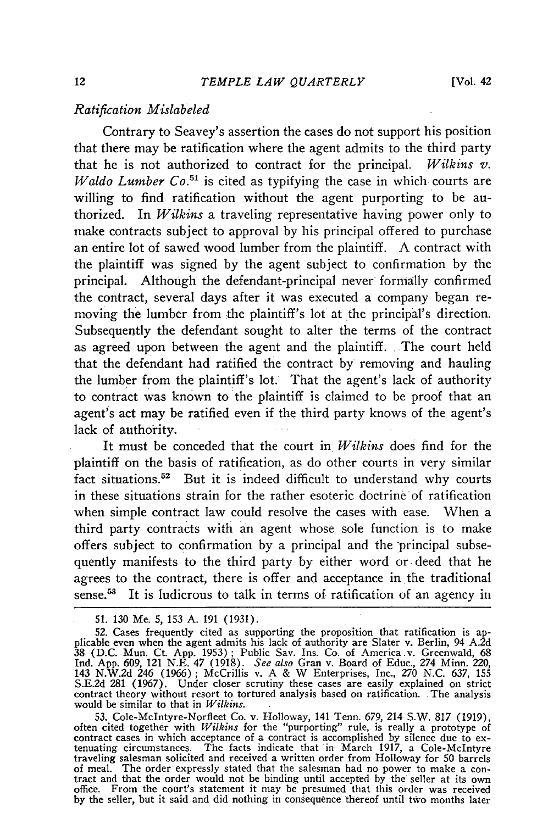#### *Ratification Mislabeled*

Contrary to Seavey's assertion the cases do not support his position that there may be ratification where the agent admits to the third party that he is not authorized to contract for the principal. *Wilkins v. Waldo Lumber Co.*<sup>51</sup> is cited as typifying the case in which courts are willing to find ratification without the agent purporting to be authorized. In *Wilkins* a traveling representative having power only to make contracts subject to approval by his principal offered to purchase an entire lot of sawed wood lumber from the plaintiff. A contract with the plaintiff was signed by the agent subject to confirmation by the principal. Although the defendant-principal never formally confirmed the contract, several days after it was executed a company began removing the lumber from the plaintiff's lot at the principal's direction. Subsequently the defendant sought to alter the terms of the contract as agreed upon between the agent and the plaintiff. The court held that the defendant had ratified the contract by removing and hauling the lumber from the plaintiff's lot. That the agent's lack of authority to contract was known to the plaintiff is claimed to be proof that an agent's act may be ratified even if the third party knows of the agent's lack of authority.

It must be conceded that the court in *Wilkins* does find for the plaintiff on the basis of ratification, as do other courts in very similar fact situations.52 But it is indeed difficult to understand why courts in these situations strain for the rather esoteric doctrine of ratification when simple contract law could resolve the cases with ease. When a third party contracts with an agent whose sole function is to make offers subject to confirmation by a principal and the principal subsequently manifests to the third party by either word or deed that he agrees to the contract, there is offer and acceptance in the traditional sense.<sup>53</sup> It is ludicrous to talk in terms of ratification of an agency in

51. 130 Me. 5, 153 A. 191 (1931).

53. Cole-McIntyre-Norfleet Co. v. Holloway, 141 Tenn. 679, 214 S.W. 817 (1919) often cited together with *Wilkins* for the "purporting" rule, is really a prototype of contract cases in which acceptance of a contract is accomplished **by** silence due to ex-tenuating circumstances. The facts indicate that in March 1917, a Cole-McIntyre traveling salesman solicited and received a written order from Holloway for 50 barrels of meal. The order expressly stated that the salesman had no power to make a contract and that the order would not be binding until accepted by the seller at its own office. From the court's statement it may be presumed th **by** the seller, but it said and did nothing in consequence thereof until two months later

**<sup>52.</sup>** Cases frequently cited as supporting the proposition that ratification is ap-plicable even when the agent admits his lack of authority are Slater v. Berlin, 94 A.2d 38 (D.C. Mun. Ct. App. 1953); Public Sav. Ins. Co. of America v. Greenwald, 68<br>Ind. App. 609, 121 N.E. 47 (1918). See also Gran v. Board of Educ., 274 Minn. 220,<br>143 N.W.2d 246 (1966); McCrillis v. A & W Enterprises, Inc., S.E.2d 281 (1967). Under closer scrutiny these cases are easily explained on strict contract theory without resort to tortured analysis based on ratification. The analysis would be similar to that in *Wilkins.*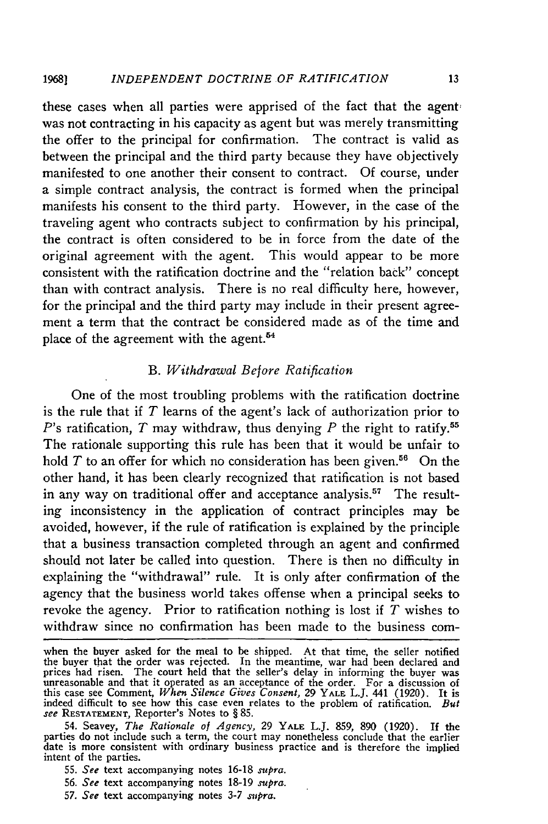these cases when all parties were apprised of the fact that the agent; was not contracting in his capacity as agent but was merely transmitting the offer to the principal for confirmation. The contract is valid as between the principal and the third party because they have objectively manifested to one another their consent to contract. Of course, under a simple contract analysis, the contract is formed when the principal manifests his consent to the third party. However, in the case of the traveling agent who contracts subject to confirmation by his principal, the contract is often considered to be in force from the date of the original agreement with the agent. This would appear to be more consistent with the ratification doctrine and the "relation back" concept than with contract analysis. There is no real difficulty here, however, for the principal and the third party may include in their present agreement a term that the contract be considered made as of the time and place of the agreement with the agent.<sup>54</sup>

#### *B. Withdrawal Before Ratification*

One of the most troubling problems with the ratification doctrine is the rule that if *T* learns of the agent's lack of authorization prior to  $P$ 's ratification,  $T$  may withdraw, thus denying  $P$  the right to ratify.<sup>55</sup> The rationale supporting this rule has been that it would be unfair to hold  $T$  to an offer for which no consideration has been given.<sup>56</sup> On the other hand, it has been clearly recognized that ratification is not based in any way on traditional offer and acceptance analysis.<sup>57</sup> The resulting inconsistency in the application of contract principles may be avoided, however, if the rule of ratification is explained by the principle that a business transaction completed through an agent and confirmed should not later be called into question. There is then no difficulty in explaining the "withdrawal" rule. It is only after confirmation of the agency that the business world takes offense when a principal seeks to revoke the agency. Prior to ratification nothing is lost if *T* wishes to withdraw since no confirmation has been made to the business com-

- 55. *See* text accompanying notes 16-18 *supra.*
- 56. *See* text accompanying notes 18-19 *supra.*
- *57. See* text accompanying notes 3-7 *supra.*

when the buyer asked for the meal to be shipped. At that time, the seller notified the buyer that the order was rejected. In the meantime, war had been declared and prices had risen. The court held that the seller's delay in informing the buyer was unreasonable and that it operated as an acceptance of the order. For a discussion of this case see Comment, *When Silence Gives Consent,* 29 YALE L.J. 441 (1920). It is indeed difficult to see how this case even relates to the problem of ratification. *But see* **RESTATEMENT,** Reporter's Notes to § 85.

<sup>54.</sup> Seavey, *The Rationale of Agency,* 29 YALE L.J. 859, 890 (1920). If the parties do not include such a term, the court may nonetheless conclude that the earlier date is more consistent with ordinary business practice and is therefore the implied intent of the parties.